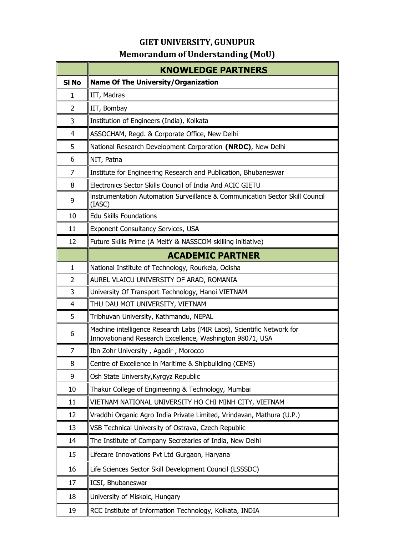## **GIET UNIVERSITY, GUNUPUR**

## **Memorandum of Understanding (MoU)**

|                  | <b>KNOWLEDGE PARTNERS</b>                                                                                                          |
|------------------|------------------------------------------------------------------------------------------------------------------------------------|
| SI <sub>No</sub> | <b>Name Of The University/Organization</b>                                                                                         |
| 1                | IIT, Madras                                                                                                                        |
| $\overline{2}$   | IIT, Bombay                                                                                                                        |
| 3                | Institution of Engineers (India), Kolkata                                                                                          |
| 4                | ASSOCHAM, Regd. & Corporate Office, New Delhi                                                                                      |
| 5                | National Research Development Corporation (NRDC), New Delhi                                                                        |
| 6                | NIT, Patna                                                                                                                         |
| 7                | Institute for Engineering Research and Publication, Bhubaneswar                                                                    |
| 8                | Electronics Sector Skills Council of India And ACIC GIETU                                                                          |
| 9                | Instrumentation Automation Surveillance & Communication Sector Skill Council<br>(IASC)                                             |
| 10               | <b>Edu Skills Foundations</b>                                                                                                      |
| 11               | Exponent Consultancy Services, USA                                                                                                 |
| 12               | Future Skills Prime (A MeitY & NASSCOM skilling initiative)                                                                        |
|                  | <b>ACADEMIC PARTNER</b>                                                                                                            |
| $\mathbf{1}$     | National Institute of Technology, Rourkela, Odisha                                                                                 |
| 2                | AUREL VLAICU UNIVERSITY OF ARAD, ROMANIA                                                                                           |
| 3                | University Of Transport Technology, Hanoi VIETNAM                                                                                  |
| $\overline{4}$   | THU DAU MOT UNIVERSITY, VIETNAM                                                                                                    |
| 5                | Tribhuvan University, Kathmandu, NEPAL                                                                                             |
| 6                | Machine intelligence Research Labs (MIR Labs), Scientific Network for<br>Innovation and Research Excellence, Washington 98071, USA |
| 7                | Ibn Zohr University, Agadir, Morocco                                                                                               |
| 8                | Centre of Excellence in Maritime & Shipbuilding (CEMS)                                                                             |
| 9                | Osh State University, Kyrgyz Republic                                                                                              |
| 10               | Thakur College of Engineering & Technology, Mumbai                                                                                 |
| 11               | VIETNAM NATIONAL UNIVERSITY HO CHI MINH CITY, VIETNAM                                                                              |
| 12               | Vraddhi Organic Agro India Private Limited, Vrindavan, Mathura (U.P.)                                                              |
| 13               | VSB Technical University of Ostrava, Czech Republic                                                                                |
| 14               | The Institute of Company Secretaries of India, New Delhi                                                                           |
| 15               | Lifecare Innovations Pvt Ltd Gurgaon, Haryana                                                                                      |
| 16               | Life Sciences Sector Skill Development Council (LSSSDC)                                                                            |
| 17               | ICSI, Bhubaneswar                                                                                                                  |
| 18               | University of Miskolc, Hungary                                                                                                     |
| 19               | RCC Institute of Information Technology, Kolkata, INDIA                                                                            |